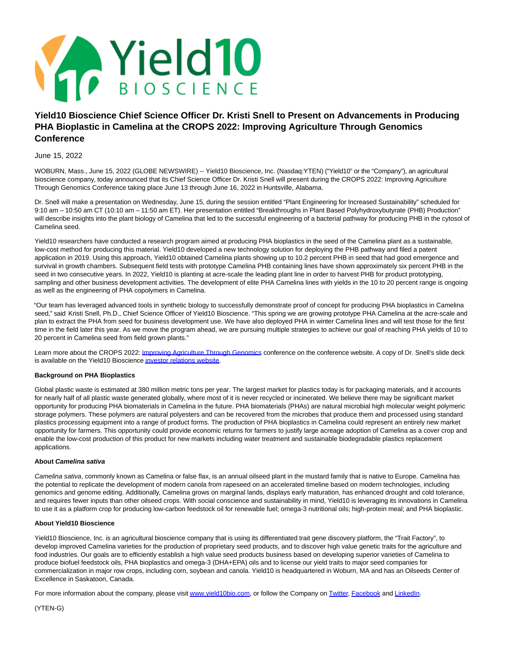

# **Yield10 Bioscience Chief Science Officer Dr. Kristi Snell to Present on Advancements in Producing PHA Bioplastic in Camelina at the CROPS 2022: Improving Agriculture Through Genomics Conference**

# June 15, 2022

WOBURN, Mass., June 15, 2022 (GLOBE NEWSWIRE) -- Yield10 Bioscience, Inc. (Nasdaq:YTEN) ("Yield10" or the "Company"), an agricultural bioscience company, today announced that its Chief Science Officer Dr. Kristi Snell will present during the CROPS 2022: Improving Agriculture Through Genomics Conference taking place June 13 through June 16, 2022 in Huntsville, Alabama.

Dr. Snell will make a presentation on Wednesday, June 15, during the session entitled "Plant Engineering for Increased Sustainability" scheduled for 9:10 am – 10:50 am CT (10:10 am – 11:50 am ET). Her presentation entitled "Breakthroughs in Plant Based Polyhydroxybutyrate (PHB) Production" will describe insights into the plant biology of Camelina that led to the successful engineering of a bacterial pathway for producing PHB in the cytosol of Camelina seed.

Yield10 researchers have conducted a research program aimed at producing PHA bioplastics in the seed of the Camelina plant as a sustainable, low-cost method for producing this material. Yield10 developed a new technology solution for deploying the PHB pathway and filed a patent application in 2019. Using this approach, Yield10 obtained Camelina plants showing up to 10.2 percent PHB in seed that had good emergence and survival in growth chambers. Subsequent field tests with prototype Camelina PHB containing lines have shown approximately six percent PHB in the seed in two consecutive years. In 2022, Yield10 is planting at acre-scale the leading plant line in order to harvest PHB for product prototyping, sampling and other business development activities. The development of elite PHA Camelina lines with yields in the 10 to 20 percent range is ongoing as well as the engineering of PHA copolymers in Camelina.

"Our team has leveraged advanced tools in synthetic biology to successfully demonstrate proof of concept for producing PHA bioplastics in Camelina seed," said Kristi Snell, Ph.D., Chief Science Officer of Yield10 Bioscience. "This spring we are growing prototype PHA Camelina at the acre-scale and plan to extract the PHA from seed for business development use. We have also deployed PHA in winter Camelina lines and will test those for the first time in the field later this year. As we move the program ahead, we are pursuing multiple strategies to achieve our goal of reaching PHA yields of 10 to 20 percent in Camelina seed from field grown plants."

Learn more about the CROPS 2022[: Improving Agriculture Through Genomics c](https://www.globenewswire.com/Tracker?data=3AHfGtq0nwnhTB1JWfF-K8hhj0gUjeZZ2y2pJaYbNAtzDRB1NXiEbRraZijmoRZHZFHTQxqOvFvEf8QCaocNJmM863ktRvtaqZz9goMIGawIbSvuGMMz75SSQ7am8-LL)onference on the conference website. A copy of Dr. Snell's slide deck is available on the Yield10 Bioscience [investor relations website.](https://www.globenewswire.com/Tracker?data=QMSSy26hbPsLo4aw49zqPBvVuarq-jbmilV71STAJVFNw3aXGlEW6DfTRt8sh3r_VvLgKztnRXTJXq86XIlY--1fEPW1zLwGrKPZx1ZwjPNv4z_DcTZemKtToDYzm53ZFNZtWKzmYdEuhPkQD1Eu0Q==)

## **Background on PHA Bioplastics**

Global plastic waste is estimated at 380 million metric tons per year. The largest market for plastics today is for packaging materials, and it accounts for nearly half of all plastic waste generated globally, where most of it is never recycled or incinerated. We believe there may be significant market opportunity for producing PHA biomaterials in Camelina in the future. PHA biomaterials (PHAs) are natural microbial high molecular weight polymeric storage polymers. These polymers are natural polyesters and can be recovered from the microbes that produce them and processed using standard plastics processing equipment into a range of product forms. The production of PHA bioplastics in Camelina could represent an entirely new market opportunity for farmers. This opportunity could provide economic returns for farmers to justify large acreage adoption of Camelina as a cover crop and enable the low-cost production of this product for new markets including water treatment and sustainable biodegradable plastics replacement applications.

#### **About Camelina sativa**

Camelina sativa, commonly known as Camelina or false flax, is an annual oilseed plant in the mustard family that is native to Europe. Camelina has the potential to replicate the development of modern canola from rapeseed on an accelerated timeline based on modern technologies, including genomics and genome editing. Additionally, Camelina grows on marginal lands, displays early maturation, has enhanced drought and cold tolerance, and requires fewer inputs than other oilseed crops. With social conscience and sustainability in mind, Yield10 is leveraging its innovations in Camelina to use it as a platform crop for producing low-carbon feedstock oil for renewable fuel; omega-3 nutritional oils; high-protein meal; and PHA bioplastic.

#### **About Yield10 Bioscience**

Yield10 Bioscience, Inc. is an agricultural bioscience company that is using its differentiated trait gene discovery platform, the "Trait Factory", to develop improved Camelina varieties for the production of proprietary seed products, and to discover high value genetic traits for the agriculture and food industries. Our goals are to efficiently establish a high value seed products business based on developing superior varieties of Camelina to produce biofuel feedstock oils, PHA bioplastics and omega-3 (DHA+EPA) oils and to license our yield traits to major seed companies for commercialization in major row crops, including corn, soybean and canola. Yield10 is headquartered in Woburn, MA and has an Oilseeds Center of Excellence in Saskatoon, Canada.

For more information about the company, please visi[t www.yield10bio.com,](https://www.globenewswire.com/Tracker?data=wZKVVnJyiMYtE9nbm4vU5tqFDcIWpT-WGjxzsdQPDYpMPuEbFbhBDmSwhAPJQwCB2d6mgqRES-tyXeQp9WSS2Y-ncHRsSNx6_EUHlLVeTD0=) or follow the Company on [Twitter,](https://www.globenewswire.com/Tracker?data=TcKmsXrfzmlXZOMIgCQ_LcoVkFzLdKnH2-IWCp1aqDMeH4XCH413Nn8hpYZeUZovjOm_ETfwWMxI8zG1lcS8OA==) [Facebook a](https://www.globenewswire.com/Tracker?data=6yR5XbpjJsG8a2QHtU9cSG_ZJOoDlBCajLu1dg1DsDVoLTBnGKGn17AozWlVVImtQwxAzSe_0yjaitGYt62K9lF0Gv11tuLNZpJWjJC3Imk=)nd [LinkedIn.](https://www.globenewswire.com/Tracker?data=0QOrOO_3ue2r9uOROHXW2rMtwDSlQXk1LsXra3BfmwaThZfLbmvDWUBRjxkA0Ib7g41AhOBzHDKoQCSpXN1WDrTqgo_4T2OhVBJjOaLNm9v3KvdInjANfbvFlL0HWeLC)